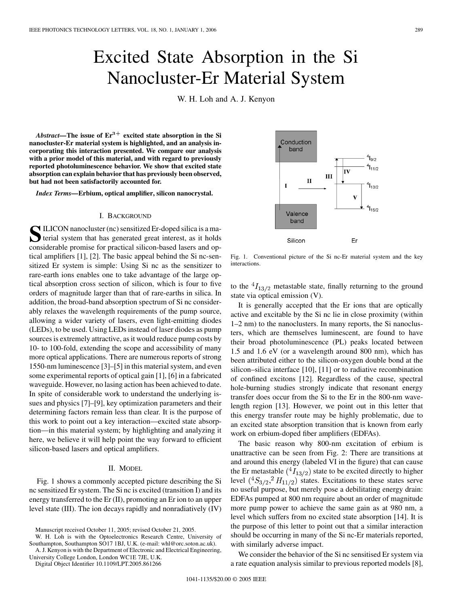# Excited State Absorption in the Si Nanocluster-Er Material System

W. H. Loh and A. J. Kenyon

*Abstract—***The issue of Er**3+ **excited state absorption in the Si nanocluster-Er material system is highlighted, and an analysis incorporating this interaction presented. We compare our analysis with a prior model of this material, and with regard to previously reported photoluminescence behavior. We show that excited state absorption can explain behavior that has previously been observed, but had not been satisfactorily accounted for.**

*Index Terms—***Erbium, optical amplifier, silicon nanocrystal.**

#### I. BACKGROUND

SILICON nanocluster (nc) sensitized Er-doped silica is a ma-<br>terial system that has generated great interest, as it holds<br>considerable gramics for grapital silican hosed learns and on considerable promise for practical silicon-based lasers and optical amplifiers [[1\]](#page-2-0), [[2\]](#page-2-0). The basic appeal behind the Si nc-sensitized Er system is simple: Using Si nc as the sensitizer to rare-earth ions enables one to take advantage of the large optical absorption cross section of silicon, which is four to five orders of magnitude larger than that of rare-earths in silica. In addition, the broad-band absorption spectrum of Si nc considerably relaxes the wavelength requirements of the pump source, allowing a wider variety of lasers, even light-emitting diodes (LEDs), to be used. Using LEDs instead of laser diodes as pump sources is extremely attractive, as it would reduce pump costs by 10- to 100-fold, extending the scope and accessibility of many more optical applications. There are numerous reports of strong 1550-nm luminescence [\[3](#page-2-0)]–[[5\]](#page-2-0) in this material system, and even some experimental reports of optical gain [[1\]](#page-2-0), [[6\]](#page-2-0) in a fabricated waveguide. However, no lasing action has been achieved to date. In spite of considerable work to understand the underlying issues and physics [[7\]](#page-2-0)–[\[9](#page-2-0)], key optimization parameters and their determining factors remain less than clear. It is the purpose of this work to point out a key interaction—excited state absorption—in this material system; by highlighting and analyzing it here, we believe it will help point the way forward to efficient silicon-based lasers and optical amplifiers.

### II. MODEL

Fig. 1 shows a commonly accepted picture describing the Si nc sensitized Er system. The Si nc is excited (transition I) and its energy transferred to the Er (II), promoting an Er ion to an upper level state (III). The ion decays rapidly and nonradiatively (IV)

W. H. Loh is with the Optoelectronics Research Centre, University of Southampton, Southampton SO17 1BJ, U.K. (e-mail: whl@orc.soton.ac.uk).

A. J. Kenyon is with the Department of Electronic and Electrical Engineering,

University College London, London WC1E 7JE, U.K.

Digital Object Identifier 10.1109/LPT.2005.861266



Fig. 1. Conventional picture of the Si nc-Er material system and the key interactions.

to the  ${}^{4}I_{13/2}$  metastable state, finally returning to the ground state via optical emission (V).

It is generally accepted that the Er ions that are optically active and excitable by the Si nc lie in close proximity (within 1–2 nm) to the nanoclusters. In many reports, the Si nanoclusters, which are themselves luminescent, are found to have their broad photoluminescence (PL) peaks located between 1.5 and 1.6 eV (or a wavelength around 800 nm), which has been attributed either to the silicon-oxygen double bond at the silicon–silica interface [[10](#page-2-0)], [\[11](#page-2-0)] or to radiative recombination of confined excitons [[12\]](#page-2-0). Regardless of the cause, spectral hole-burning studies strongly indicate that resonant energy transfer does occur from the Si to the Er in the 800-nm wavelength region [[13\]](#page-2-0). However, we point out in this letter that this energy transfer route may be highly problematic, due to an excited state absorption transition that is known from early work on erbium-doped fiber amplifiers (EDFAs).

The basic reason why 800-nm excitation of erbium is unattractive can be seen from Fig. 2: There are transitions at and around this energy (labeled VI in the figure) that can cause the Er metastable  $({}^{4}I_{13/2})$  state to be excited directly to higher level  $({}^4S_{3/2}, {}^2H_{11/2})$  states. Excitations to these states serve no useful purpose, but merely pose a debilitating energy drain: EDFAs pumped at 800 nm require about an order of magnitude more pump power to achieve the same gain as at 980 nm, a level which suffers from no excited state absorption [[14](#page-2-0)]. It is the purpose of this letter to point out that a similar interaction should be occurring in many of the Si nc-Er materials reported, with similarly adverse impact.

We consider the behavior of the Si nc sensitised Er system via a rate equation analysis similar to previous reported models [\[8](#page-2-0)],

Manuscript received October 11, 2005; revised October 21, 2005.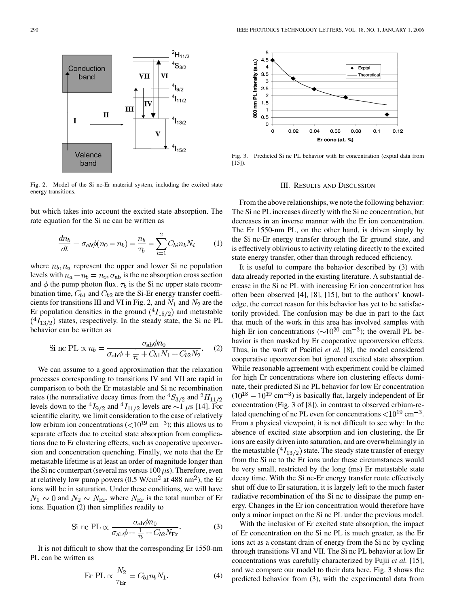

Fig. 2. Model of the Si nc-Er material system, including the excited state energy transitions.

but which takes into account the excited state absorption. The rate equation for the Si nc can be written as

$$
\frac{dn_b}{dt} = \sigma_{ab}\phi(n_0 - n_b) - \frac{n_b}{\tau_b} - \sum_{i=1}^{2} C_{bi}n_b N_i \tag{1}
$$

where  $n_b$ ,  $n_a$  represent the upper and lower Si nc population levels with  $n_a + n_b = n_o$ ,  $\sigma_{ab}$  is the nc absorption cross section and  $\phi$  the pump photon flux.  $\tau_b$  is the Si nc upper state recombination time,  $C_{b1}$  and  $C_{b2}$  are the Si-Er energy transfer coefficients for transitions III and VI in Fig. 2, and  $N_1$  and  $N_2$  are the Er population densities in the ground  $(^4I_{15/2})$  and metastable  $(^{4}I_{13/2})$  states, respectively. In the steady state, the Si nc PL behavior can be written as

$$
\text{Si} \text{ nc PL} \propto n_b = \frac{\sigma_{\text{ab}} \varphi n_0}{\sigma_{\text{ab}} \varphi + \frac{1}{\tau_b} + C_{b1} N_1 + C_{b2} N_2}.
$$
 (2)

We can assume to a good approximation that the relaxation processes corresponding to transitions IV and VII are rapid in comparison to both the Er metastable and Si nc recombination rates (the nonradiative decay times from the  ${}^4S_{3/2}$  and  ${}^2H_{11/2}$ levels down to the  ${}^4I_{9/2}$  and  ${}^4I_{11/2}$  levels are  $\sim$ 1  $\mu$ s [\[14](#page-2-0)]. For scientific clarity, we limit consideration to the case of relatively low erbium ion concentrations ( $\langle 10^{19} \text{ cm}^{-3}$ ); this allows us to separate effects due to excited state absorption from complications due to Er clustering effects, such as cooperative upconversion and concentration quenching. Finally, we note that the Er metastable lifetime is at least an order of magnitude longer than the Si nc counterpart (several ms versus  $100 \,\mu s$ ). Therefore, even at relatively low pump powers (0.5 W/cm<sup>2</sup> at 488 nm<sup>2</sup>), the Er ions will be in saturation. Under these conditions, we will have  $N_1 \sim 0$  and  $N_2 \sim N_{\text{Er}}$ , where  $N_{\text{Er}}$  is the total number of Er ions. Equation (2) then simplifies readily to

$$
\text{Si} \text{ nc PL} \propto \frac{\sigma_{\text{ab}} \phi n_0}{\sigma_{\text{ab}} \phi + \frac{1}{\tau_b} + C_{b2} N_{\text{Er}}}.\tag{3}
$$

It is not difficult to show that the corresponding Er 1550-nm PL can be written as

$$
\text{Er PL} \propto \frac{N_2}{\tau_{\text{Er}}} = C_{b1} n_b N_1. \tag{4}
$$



Fig. 3. Predicted Si nc PL behavior with Er concentration (exptal data from [\[15](#page-2-0)]).

#### III. RESULTS AND DISCUSSION

From the above relationships, we note the following behavior: The Si nc PL increases directly with the Si nc concentration, but decreases in an inverse manner with the Er ion concentration. The Er 1550-nm PL, on the other hand, is driven simply by the Si nc-Er energy transfer through the Er ground state, and is effectively oblivious to activity relating directly to the excited state energy transfer, other than through reduced efficiency.

It is useful to compare the behavior described by (3) with data already reported in the existing literature. A substantial decrease in the Si nc PL with increasing Er ion concentration has often been observed [[4\]](#page-2-0), [\[8](#page-2-0)], [\[15\]](#page-2-0), but to the authors' knowledge, the correct reason for this behavior has yet to be satisfactorily provided. The confusion may be due in part to the fact that much of the work in this area has involved samples with high Er ion concentrations ( $\sim 10^{20}$  cm<sup>-3</sup>); the overall PL behavior is then masked by Er cooperative upconversion effects. Thus, in the work of Pacifici *et al.* [\[8](#page-2-0)], the model considered cooperative upconversion but ignored excited state absorption. While reasonable agreement with experiment could be claimed for high Er concentrations where ion clustering effects dominate, their predicted Si nc PL behavior for low Er concentration  $(10^{18} - 10^{19}$  cm<sup>-3</sup>) is basically flat, largely independent of Er concentration (Fig. 3 of [\[8](#page-2-0)]), in contrast to observed erbium-related quenching of nc PL even for concentrations  $\langle 10^{19} \text{ cm}^{-3}$ . From a physical viewpoint, it is not difficult to see why: In the absence of excited state absorption and ion clustering, the Er ions are easily driven into saturation, and are overwhelmingly in the metastable  $(^4I_{13/2})$  state. The steady state transfer of energy from the Si nc to the Er ions under these circumstances would be very small, restricted by the long (ms) Er metastable state decay time. With the Si nc-Er energy transfer route effectively shut off due to Er saturation, it is largely left to the much faster radiative recombination of the Si nc to dissipate the pump energy. Changes in the Er ion concentration would therefore have only a minor impact on the Si nc PL under the previous model.

With the inclusion of Er excited state absorption, the impact of Er concentration on the Si nc PL is much greater, as the Er ions act as a constant drain of energy from the Si nc by cycling through transitions VI and VII. The Si nc PL behavior at low Er concentrations was carefully characterized by Fujii *et al.* [[15\]](#page-2-0), and we compare our model to their data here. Fig. 3 shows the predicted behavior from (3), with the experimental data from